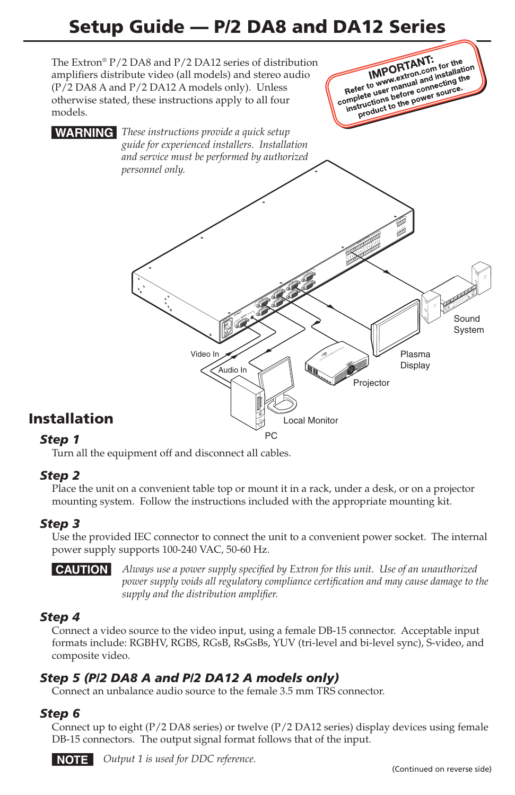# Setup Guide — P/2 DA8 and DA12 Series



#### *Step 1*

Turn all the equipment off and disconnect all cables.

#### *Step 2*

Place the unit on a convenient table top or mount it in a rack, under a desk, or on a projector mounting system. Follow the instructions included with the appropriate mounting kit.

#### *Step 3*

Use the provided IEC connector to connect the unit to a convenient power socket. The internal power supply supports 100-240 VAC, 50-60 Hz.

C *Always use a power supply specified by Extron for this unit. Use of an unauthorized power supply voids all regulatory compliance certification and may cause damage to the supply and the distribution amplifier.*

#### *Step 4*

Connect a video source to the video input, using a female DB-15 connector. Acceptable input formats include: RGBHV, RGBS, RGsB, RsGsBs, YUV (tri-level and bi-level sync), S-video, and composite video.

#### *Step 5 (P/2 DA8 A and P/2 DA12 A models only)*

Connect an unbalance audio source to the female 3.5 mm TRS connector.

#### *Step 6*

Connect up to eight (P/2 DA8 series) or twelve (P/2 DA12 series) display devices using female DB-15 connectors. The output signal format follows that of the input.



**NOTE** Output 1 is used for DDC reference.